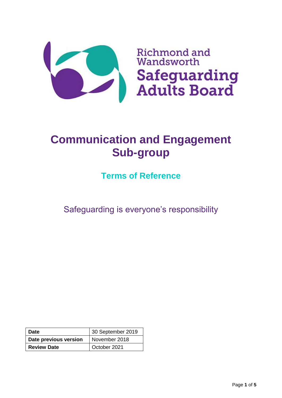

# **Communication and Engagement Sub-group**

**Terms of Reference**

Safeguarding is everyone's responsibility

| <b>Date</b>           | 30 September 2019 |
|-----------------------|-------------------|
| Date previous version | November 2018     |
| <b>Review Date</b>    | October 2021      |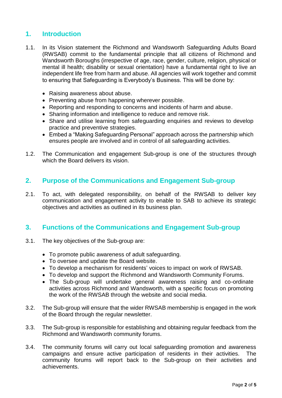# **1. Introduction**

- 1.1. In its Vision statement the Richmond and Wandsworth Safeguarding Adults Board (RWSAB) commit to the fundamental principle that all citizens of Richmond and Wandsworth Boroughs (irrespective of age, race, gender, culture, religion, physical or mental ill health; disability or sexual orientation) have a fundamental right to live an independent life free from harm and abuse. All agencies will work together and commit to ensuring that Safeguarding is Everybody's Business. This will be done by:
	- Raising awareness about abuse.
	- Preventing abuse from happening wherever possible.
	- Reporting and responding to concerns and incidents of harm and abuse.
	- Sharing information and intelligence to reduce and remove risk.
	- Share and utilise learning from safeguarding enquiries and reviews to develop practice and preventive strategies.
	- Embed a "Making Safeguarding Personal" approach across the partnership which ensures people are involved and in control of all safeguarding activities.
- 1.2. The Communication and engagement Sub-group is one of the structures through which the Board delivers its vision.

#### **2. Purpose of the Communications and Engagement Sub-group**

2.1. To act, with delegated responsibility, on behalf of the RWSAB to deliver key communication and engagement activity to enable to SAB to achieve its strategic objectives and activities as outlined in its business plan.

## **3. Functions of the Communications and Engagement Sub-group**

- 3.1. The key objectives of the Sub-group are:
	- To promote public awareness of adult safeguarding.
	- To oversee and update the Board website.
	- To develop a mechanism for residents' voices to impact on work of RWSAB.
	- To develop and support the Richmond and Wandsworth Community Forums.
	- The Sub-group will undertake general awareness raising and co-ordinate activities across Richmond and Wandsworth, with a specific focus on promoting the work of the RWSAB through the website and social media.
- 3.2. The Sub-group will ensure that the wider RWSAB membership is engaged in the work of the Board through the regular newsletter.
- 3.3. The Sub-group is responsible for establishing and obtaining regular feedback from the Richmond and Wandsworth community forums.
- 3.4. The community forums will carry out local safeguarding promotion and awareness campaigns and ensure active participation of residents in their activities. The community forums will report back to the Sub-group on their activities and achievements.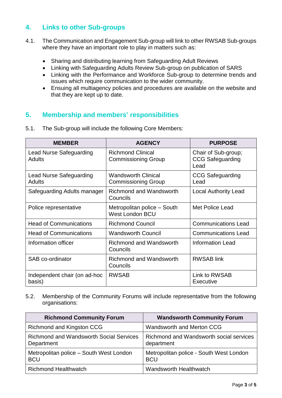# **4. Links to other Sub-groups**

- 4.1. The Communication and Engagement Sub-group will link to other RWSAB Sub-groups where they have an important role to play in matters such as:
	- Sharing and distributing learning from Safeguarding Adult Reviews
	- Linking with Safeguarding Adults Review Sub-group on publication of SARS
	- Linking with the Performance and Workforce Sub-group to determine trends and issues which require communication to the wider community.
	- Ensuing all multiagency policies and procedures are available on the website and that they are kept up to date.

## **5. Membership and members' responsibilities**

| <b>MEMBER</b>                            | <b>AGENCY</b>                                            | <b>PURPOSE</b>                                         |
|------------------------------------------|----------------------------------------------------------|--------------------------------------------------------|
| Lead Nurse Safeguarding<br><b>Adults</b> | <b>Richmond Clinical</b><br><b>Commissioning Group</b>   | Chair of Sub-group;<br><b>CCG Safeguarding</b><br>Lead |
| <b>Lead Nurse Safeguarding</b><br>Adults | <b>Wandsworth Clinical</b><br><b>Commissioning Group</b> | <b>CCG Safeguarding</b><br>Lead                        |
| Safeguarding Adults manager              | <b>Richmond and Wandsworth</b><br>Councils               | <b>Local Authority Lead</b>                            |
| Police representative                    | Metropolitan police – South<br><b>West London BCU</b>    | Met Police Lead                                        |
| <b>Head of Communications</b>            | <b>Richmond Council</b>                                  | <b>Communications Lead</b>                             |
| <b>Head of Communications</b>            | <b>Wandsworth Council</b>                                | <b>Communications Lead</b>                             |
| Information officer                      | <b>Richmond and Wandsworth</b><br>Councils               | <b>Information Lead</b>                                |
| SAB co-ordinator                         | Richmond and Wandsworth<br>Councils                      | <b>RWSAB</b> link                                      |
| Independent chair (on ad-hoc<br>basis)   | <b>RWSAB</b>                                             | Link to RWSAB<br>Executive                             |

5.1. The Sub-group will include the following Core Members:

5.2. Membership of the Community Forums will include representative from the following organisations:

| <b>Richmond Community Forum</b>                              | <b>Wandsworth Community Forum</b>                     |
|--------------------------------------------------------------|-------------------------------------------------------|
| Richmond and Kingston CCG                                    | Wandsworth and Merton CCG                             |
| <b>Richmond and Wandsworth Social Services</b><br>Department | Richmond and Wandsworth social services<br>department |
| Metropolitan police – South West London<br><b>BCU</b>        | Metropolitan police - South West London<br><b>BCU</b> |
| <b>Richmond Healthwatch</b>                                  | <b>Wandsworth Healthwatch</b>                         |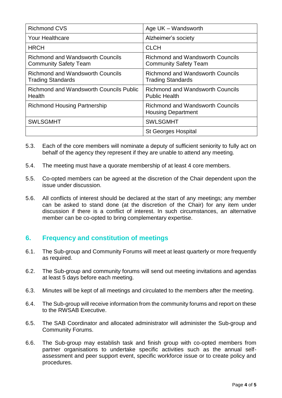| Richmond CVS                                                            | Age UK - Wandsworth                                                     |
|-------------------------------------------------------------------------|-------------------------------------------------------------------------|
| <b>Your Healthcare</b>                                                  | Alzheimer's society                                                     |
| <b>HRCH</b>                                                             | <b>CLCH</b>                                                             |
| <b>Richmond and Wandsworth Councils</b><br><b>Community Safety Team</b> | <b>Richmond and Wandsworth Councils</b><br><b>Community Safety Team</b> |
| <b>Richmond and Wandsworth Councils</b><br><b>Trading Standards</b>     | <b>Richmond and Wandsworth Councils</b><br><b>Trading Standards</b>     |
| Richmond and Wandsworth Councils Public<br>Health                       | <b>Richmond and Wandsworth Councils</b><br><b>Public Health</b>         |
| <b>Richmond Housing Partnership</b>                                     | <b>Richmond and Wandsworth Councils</b><br><b>Housing Department</b>    |
| <b>SWLSGMHT</b>                                                         | <b>SWLSGMHT</b>                                                         |
|                                                                         | <b>St Georges Hospital</b>                                              |

- 5.3. Each of the core members will nominate a deputy of sufficient seniority to fully act on behalf of the agency they represent if they are unable to attend any meeting.
- 5.4. The meeting must have a quorate membership of at least 4 core members.
- 5.5. Co-opted members can be agreed at the discretion of the Chair dependent upon the issue under discussion.
- 5.6. All conflicts of interest should be declared at the start of any meetings; any member can be asked to stand done (at the discretion of the Chair) for any item under discussion if there is a conflict of interest. In such circumstances, an alternative member can be co-opted to bring complementary expertise.

# **6. Frequency and constitution of meetings**

- 6.1. The Sub-group and Community Forums will meet at least quarterly or more frequently as required.
- 6.2. The Sub-group and community forums will send out meeting invitations and agendas at least 5 days before each meeting.
- 6.3. Minutes will be kept of all meetings and circulated to the members after the meeting.
- 6.4. The Sub-group will receive information from the community forums and report on these to the RWSAB Executive.
- 6.5. The SAB Coordinator and allocated administrator will administer the Sub-group and Community Forums.
- 6.6. The Sub-group may establish task and finish group with co-opted members from partner organisations to undertake specific activities such as the annual selfassessment and peer support event, specific workforce issue or to create policy and procedures.